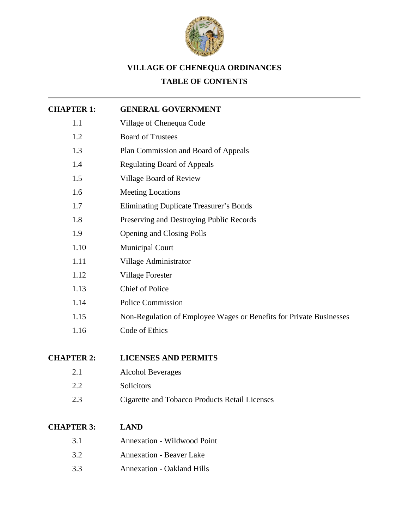

# **VILLAGE OF CHENEQUA ORDINANCES**

## **TABLE OF CONTENTS**

| <b>CHAPTER 1:</b> | <b>GENERAL GOVERNMENT</b>                                           |
|-------------------|---------------------------------------------------------------------|
| 1.1               | Village of Chenequa Code                                            |
| 1.2               | <b>Board of Trustees</b>                                            |
| 1.3               | Plan Commission and Board of Appeals                                |
| 1.4               | <b>Regulating Board of Appeals</b>                                  |
| 1.5               | Village Board of Review                                             |
| 1.6               | <b>Meeting Locations</b>                                            |
| 1.7               | <b>Eliminating Duplicate Treasurer's Bonds</b>                      |
| 1.8               | Preserving and Destroying Public Records                            |
| 1.9               | <b>Opening and Closing Polls</b>                                    |
| 1.10              | <b>Municipal Court</b>                                              |
| 1.11              | Village Administrator                                               |
| 1.12              | <b>Village Forester</b>                                             |
| 1.13              | <b>Chief of Police</b>                                              |
| 1.14              | <b>Police Commission</b>                                            |
| 1.15              | Non-Regulation of Employee Wages or Benefits for Private Businesses |
| 1.16              | Code of Ethics                                                      |
| <b>CHAPTER 2:</b> | <b>LICENSES AND PERMITS</b>                                         |
| 2.1               | <b>Alcohol Beverages</b>                                            |
| 2.2               | Solicitors                                                          |
| 2.3               | <b>Cigarette and Tobacco Products Retail Licenses</b>               |
| <b>CHAPTER 3:</b> | <b>LAND</b>                                                         |
| 3.1               | <b>Annexation - Wildwood Point</b>                                  |
| 3.2               | <b>Annexation - Beaver Lake</b>                                     |
| 3.3               | <b>Annexation - Oakland Hills</b>                                   |
|                   |                                                                     |
|                   |                                                                     |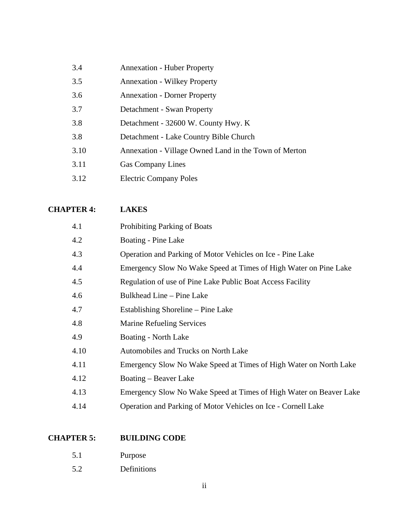| 3.4  | <b>Annexation - Huber Property</b>                    |
|------|-------------------------------------------------------|
| 3.5  | <b>Annexation - Wilkey Property</b>                   |
| 3.6  | <b>Annexation - Dorner Property</b>                   |
| 3.7  | Detachment - Swan Property                            |
| 3.8  | Detachment - 32600 W. County Hwy. K                   |
| 3.8  | Detachment - Lake Country Bible Church                |
| 3.10 | Annexation - Village Owned Land in the Town of Merton |
| 3.11 | <b>Gas Company Lines</b>                              |
| 3.12 | <b>Electric Company Poles</b>                         |

### **[CHAPTER 4:](http://www.chenequa.wi.us/Village%20Code/CHAP4.pdf) LAKES**

| 4.1  | Prohibiting Parking of Boats                                       |
|------|--------------------------------------------------------------------|
| 4.2  | Boating - Pine Lake                                                |
| 4.3  | Operation and Parking of Motor Vehicles on Ice - Pine Lake         |
| 4.4  | Emergency Slow No Wake Speed at Times of High Water on Pine Lake   |
| 4.5  | Regulation of use of Pine Lake Public Boat Access Facility         |
| 4.6  | Bulkhead Line – Pine Lake                                          |
| 4.7  | Establishing Shoreline – Pine Lake                                 |
| 4.8  | <b>Marine Refueling Services</b>                                   |
| 4.9  | Boating - North Lake                                               |
| 4.10 | Automobiles and Trucks on North Lake                               |
| 4.11 | Emergency Slow No Wake Speed at Times of High Water on North Lake  |
| 4.12 | Boating - Beaver Lake                                              |
| 4.13 | Emergency Slow No Wake Speed at Times of High Water on Beaver Lake |
| 4.14 | Operation and Parking of Motor Vehicles on Ice - Cornell Lake      |

### **CHAPTER 5: [BUILDING CODE](http://www.chenequa.wi.us/Village%20Code/Chap5.pdf)**

- 5.1 Purpose
- 5.2 Definitions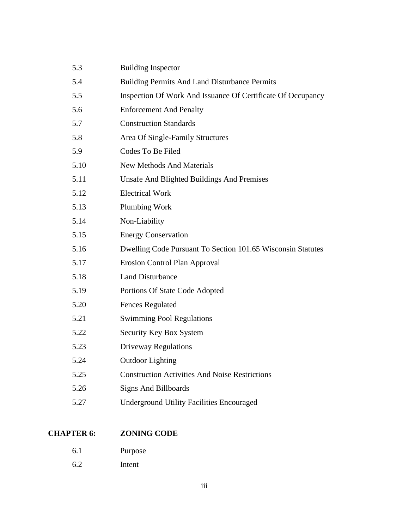| 5.3  | <b>Building Inspector</b>                                   |
|------|-------------------------------------------------------------|
| 5.4  | <b>Building Permits And Land Disturbance Permits</b>        |
| 5.5  | Inspection Of Work And Issuance Of Certificate Of Occupancy |
| 5.6  | <b>Enforcement And Penalty</b>                              |
| 5.7  | <b>Construction Standards</b>                               |
| 5.8  | Area Of Single-Family Structures                            |
| 5.9  | Codes To Be Filed                                           |
| 5.10 | <b>New Methods And Materials</b>                            |
| 5.11 | <b>Unsafe And Blighted Buildings And Premises</b>           |
| 5.12 | <b>Electrical Work</b>                                      |
| 5.13 | <b>Plumbing Work</b>                                        |
| 5.14 | Non-Liability                                               |
| 5.15 | <b>Energy Conservation</b>                                  |
| 5.16 | Dwelling Code Pursuant To Section 101.65 Wisconsin Statutes |
| 5.17 | <b>Erosion Control Plan Approval</b>                        |
| 5.18 | <b>Land Disturbance</b>                                     |
| 5.19 | Portions Of State Code Adopted                              |
| 5.20 | <b>Fences Regulated</b>                                     |
| 5.21 | <b>Swimming Pool Regulations</b>                            |
| 5.22 | Security Key Box System                                     |
| 5.23 | <b>Driveway Regulations</b>                                 |
| 5.24 | <b>Outdoor Lighting</b>                                     |
| 5.25 | <b>Construction Activities And Noise Restrictions</b>       |
| 5.26 | <b>Signs And Billboards</b>                                 |
| 5.27 | <b>Underground Utility Facilities Encouraged</b>            |
|      |                                                             |

## **CHAPTER 6: [ZONING CODE](http://www.chenequa.wi.us/Village%20Code/Chap6.pdf)**

- 6.1 Purpose
- 6.2 Intent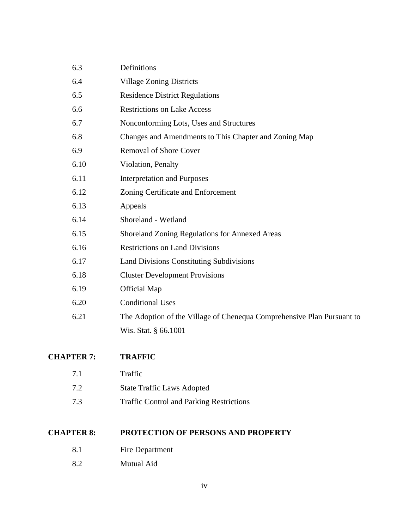| 6.3  | Definitions                                                            |
|------|------------------------------------------------------------------------|
| 6.4  | <b>Village Zoning Districts</b>                                        |
| 6.5  | <b>Residence District Regulations</b>                                  |
| 6.6  | <b>Restrictions on Lake Access</b>                                     |
| 6.7  | Nonconforming Lots, Uses and Structures                                |
| 6.8  | Changes and Amendments to This Chapter and Zoning Map                  |
| 6.9  | <b>Removal of Shore Cover</b>                                          |
| 6.10 | Violation, Penalty                                                     |
| 6.11 | <b>Interpretation and Purposes</b>                                     |
| 6.12 | Zoning Certificate and Enforcement                                     |
| 6.13 | Appeals                                                                |
| 6.14 | Shoreland - Wetland                                                    |
| 6.15 | Shoreland Zoning Regulations for Annexed Areas                         |
| 6.16 | <b>Restrictions on Land Divisions</b>                                  |
| 6.17 | <b>Land Divisions Constituting Subdivisions</b>                        |
| 6.18 | <b>Cluster Development Provisions</b>                                  |
| 6.19 | <b>Official Map</b>                                                    |
| 6.20 | <b>Conditional Uses</b>                                                |
| 6.21 | The Adoption of the Village of Chenequa Comprehensive Plan Pursuant to |
|      | Wis. Stat. § 66.1001                                                   |
|      |                                                                        |

### **[CHAPTER 7:](http://www.chenequa.wi.us/Village%20Code/CHAP7.pdf) TRAFFIC**

- 7.2 State Traffic Laws Adopted
- 7.3 Traffic Control and Parking Restrictions

### **CHAPTER 8: [PROTECTION OF PERSONS AND PROPERTY](http://www.chenequa.wi.us/Village%20Code/CHAP8.pdf)**

- 8.1 Fire Department
- 8.2 Mutual Aid